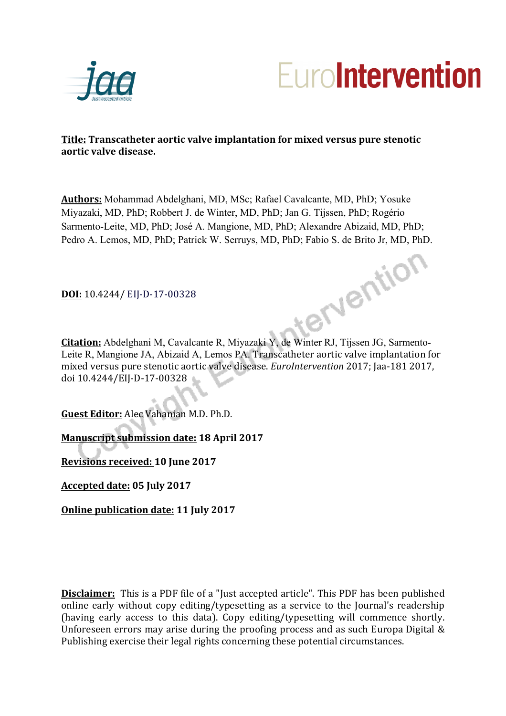



**Title: Transcatheter aortic valve implantation for mixed versus pure stenotic aortic valve disease.**

**Authors:** Mohammad Abdelghani, MD, MSc; Rafael Cavalcante, MD, PhD; Yosuke Miyazaki, MD, PhD; Robbert J. de Winter, MD, PhD; Jan G. Tijssen, PhD; Rogério Sarmento-Leite, MD, PhD; José A. Mangione, MD, PhD; Alexandre Abizaid, MD, PhD;

**DOI:** 10.4244/ EIJ-D-17-00328

Pedro A. Lemos, MD, PhD; Patrick W. Serruys, MD, PhD; Fabio S. de Brito Jr, MD, PhD.<br>
DOI: 10.4244/ EIJ-D-17-00328 **Citation:** Abdelghani M, Cavalcante R, Miyazaki Y, de Winter RJ, Tijssen JG, Sarmento-Leite R, Mangione JA, Abizaid A, Lemos PA. Transcatheter aortic valve implantation for mixed versus pure stenotic aortic valve disease. *EuroIntervention* 2017; Jaa-181 2017, doi 10.4244/EIJ-D-17-00328

**Guest Editor:** Alec Vahanian M.D. Ph.D.

**Manuscript submission date: 18 April 2017** 

**Revisions received: 10 June 2017**

**Accepted date: 05 July 2017**

**Online publication date: 11 July 2017** 

**Disclaimer:** This is a PDF file of a "Just accepted article". This PDF has been published online early without copy editing/typesetting as a service to the Journal's readership (having early access to this data). Copy editing/typesetting will commence shortly. Unforeseen errors may arise during the proofing process and as such Europa Digital  $&$ Publishing exercise their legal rights concerning these potential circumstances.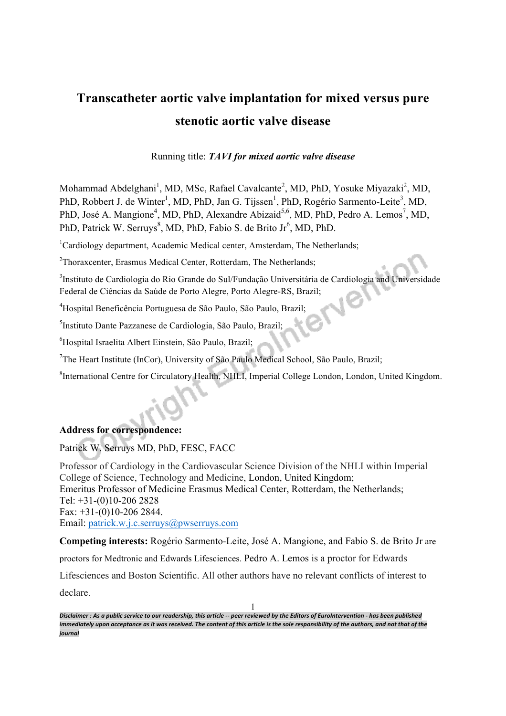# **Transcatheter aortic valve implantation for mixed versus pure stenotic aortic valve disease**

Running title: *TAVI for mixed aortic valve disease*

Mohammad Abdelghani<sup>1</sup>, MD, MSc, Rafael Cavalcante<sup>2</sup>, MD, PhD, Yosuke Miyazaki<sup>2</sup>, MD, PhD, Robbert J. de Winter<sup>1</sup>, MD, PhD, Jan G. Tijssen<sup>1</sup>, PhD, Rogério Sarmento-Leite<sup>3</sup>, MD, PhD, José A. Mangione<sup>4</sup>, MD, PhD, Alexandre Abizaid<sup>5,6</sup>, MD, PhD, Pedro A. Lemos<sup>7</sup>, MD, PhD, Patrick W. Serruys<sup>8</sup>, MD, PhD, Fabio S. de Brito Jr<sup>6</sup>, MD, PhD.

<sup>1</sup>Cardiology department, Academic Medical center, Amsterdam, The Netherlands;

<sup>2</sup>Thoraxcenter, Erasmus Medical Center, Rotterdam, The Netherlands;

<sup>3</sup>Instituto de Cardiologia do Rio Grande do Sul/Fundação Universitária de Cardiologia and Universidade Federal de Ciências da Saúde de Porto Alegre, Porto Alegre-RS, Brazil;

4 Hospital Beneficência Portuguesa de São Paulo, São Paulo, Brazil;

5 Instituto Dante Pazzanese de Cardiologia, São Paulo, Brazil;

6 Hospital Israelita Albert Einstein, São Paulo, Brazil;

<sup>7</sup>The Heart Institute (InCor), University of São Paulo Medical School, São Paulo, Brazil;

<sup>8</sup>International Centre for Circulatory Health, NHLI, Imperial College London, London, United Kingdom.

# **Address for correspondence:**

Patrick W. Serruys MD, PhD, FESC, FACC

Professor of Cardiology in the Cardiovascular Science Division of the NHLI within Imperial College of Science, Technology and Medicine, London, United Kingdom; Emeritus Professor of Medicine Erasmus Medical Center, Rotterdam, the Netherlands; Tel: +31-(0)10-206 2828 Fax: +31-(0)10-206 2844. Email: patrick.w.j.c.serruys@pwserruys.com

**Competing interests:** Rogério Sarmento-Leite, José A. Mangione, and Fabio S. de Brito Jr are proctors for Medtronic and Edwards Lifesciences. Pedro A. Lemos is a proctor for Edwards Lifesciences and Boston Scientific. All other authors have no relevant conflicts of interest to declare.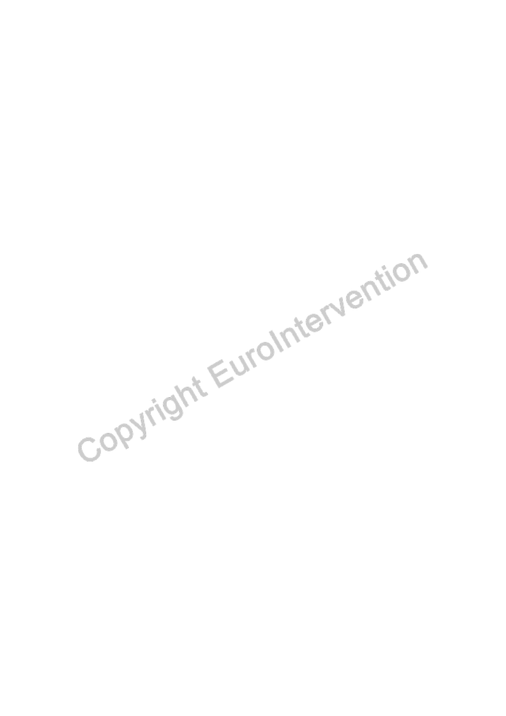Copyright EuroIntervention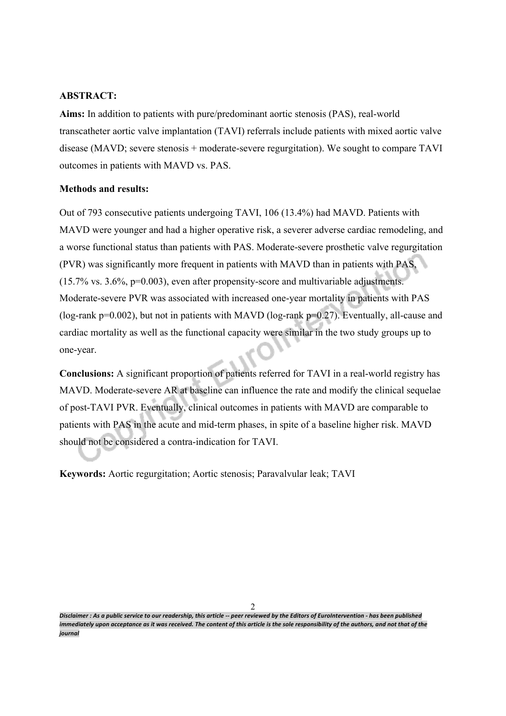# **ABSTRACT:**

**Aims:** In addition to patients with pure/predominant aortic stenosis (PAS), real-world transcatheter aortic valve implantation (TAVI) referrals include patients with mixed aortic valve disease (MAVD; severe stenosis + moderate-severe regurgitation). We sought to compare TAVI outcomes in patients with MAVD vs. PAS.

# **Methods and results:**

Out of 793 consecutive patients undergoing TAVI, 106 (13.4%) had MAVD. Patients with MAVD were younger and had a higher operative risk, a severer adverse cardiac remodeling, and a worse functional status than patients with PAS. Moderate-severe prosthetic valve regurgitation (PVR) was significantly more frequent in patients with MAVD than in patients with PAS, (15.7% vs. 3.6%, p=0.003), even after propensity-score and multivariable adjustments. Moderate-severe PVR was associated with increased one-year mortality in patients with PAS (log-rank p=0.002), but not in patients with MAVD (log-rank p=0.27). Eventually, all-cause and cardiac mortality as well as the functional capacity were similar in the two study groups up to one-year.

**Conclusions:** A significant proportion of patients referred for TAVI in a real-world registry has MAVD. Moderate-severe AR at baseline can influence the rate and modify the clinical sequelae of post-TAVI PVR. Eventually, clinical outcomes in patients with MAVD are comparable to patients with PAS in the acute and mid-term phases, in spite of a baseline higher risk. MAVD should not be considered a contra-indication for TAVI.

**Keywords:** Aortic regurgitation; Aortic stenosis; Paravalvular leak; TAVI

Disclaimer : As a public service to our readership, this article -- peer reviewed by the Editors of EuroIntervention - has been published *immediately* upon acceptance as it was received. The content of this article is the sole responsibility of the authors, and not that of the *journal*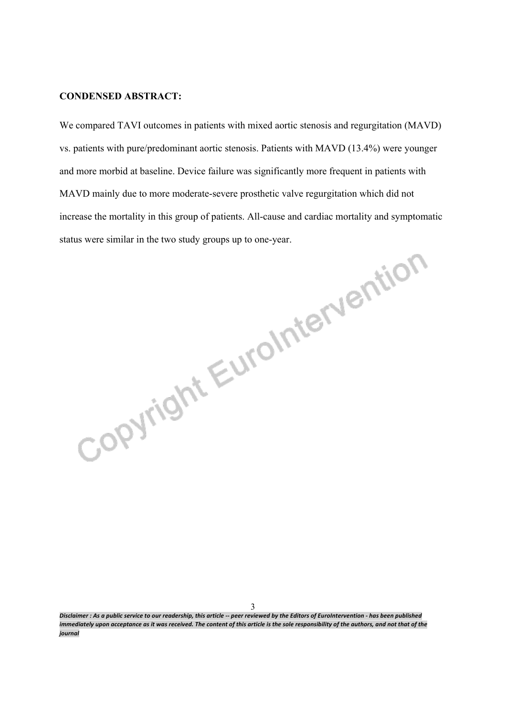#### **CONDENSED ABSTRACT:**

We compared TAVI outcomes in patients with mixed aortic stenosis and regurgitation (MAVD) vs. patients with pure/predominant aortic stenosis. Patients with MAVD (13.4%) were younger and more morbid at baseline. Device failure was significantly more frequent in patients with MAVD mainly due to more moderate-severe prosthetic valve regurgitation which did not increase the mortality in this group of patients. All-cause and cardiac mortality and symptomatic status were similar in the two study groups up to one-year.<br>COPYFIGht EuroIntervention

*Disclaimer* : As a public service to our readership, this article -- peer reviewed by the Editors of EuroIntervention - has been published *immediately upon acceptance as it was received. The content of this article is the sole responsibility of the authors, and not that of the journal*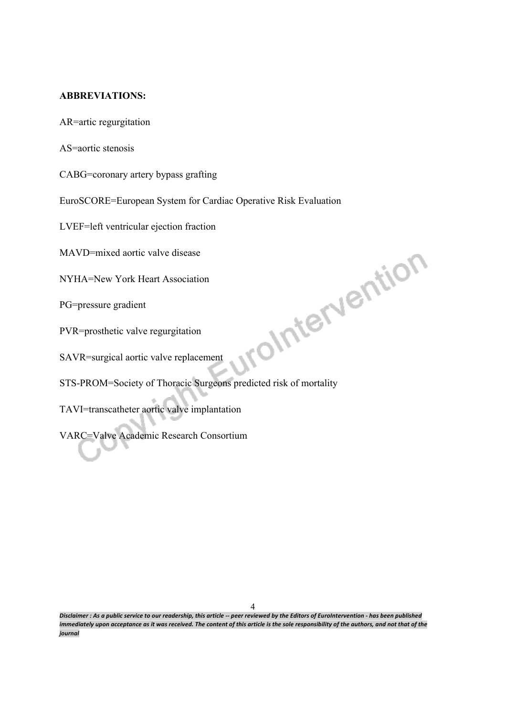## **ABBREVIATIONS:**

AR=artic regurgitation

AS=aortic stenosis

CABG=coronary artery bypass grafting

EuroSCORE=European System for Cardiac Operative Risk Evaluation

LVEF=left ventricular ejection fraction

MAVD=mixed aortic valve disease

NYHA=New York Heart Association

PG=pressure gradient

PVR=prosthetic valve regurgitation

SAVR=surgical aortic valve replacement

Prosthetic valve regurgitation<br>SAVR=surgical aortic valve replacement<br>STS-PROM=Society of Thoracic Surgeons predicted risk of mortality

TAVI=transcatheter aortic valve implantation

VARC=Valve Academic Research Consortium

Disclaimer : As a public service to our readership, this article -- peer reviewed by the Editors of EuroIntervention - has been published *immediately upon acceptance as it was received. The content of this article is the sole responsibility of the authors, and not that of the journal*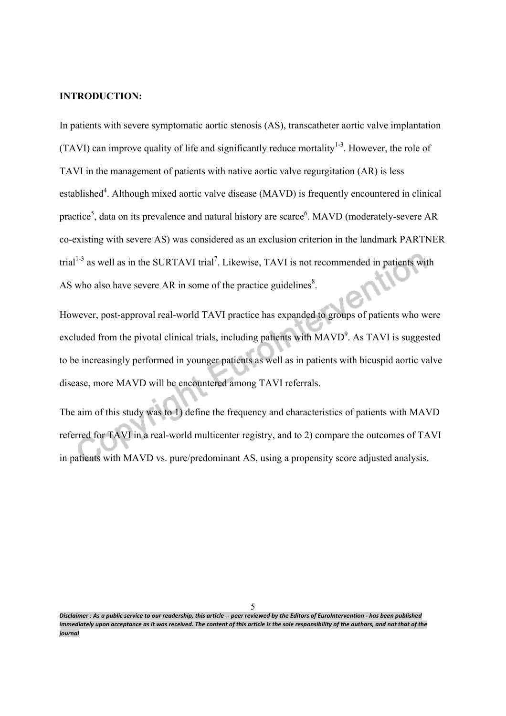#### **INTRODUCTION:**

In patients with severe symptomatic aortic stenosis (AS), transcatheter aortic valve implantation  $(TAVI)$  can improve quality of life and significantly reduce mortality<sup>1-3</sup>. However, the role of TAVI in the management of patients with native aortic valve regurgitation (AR) is less established<sup>4</sup>. Although mixed aortic valve disease (MAVD) is frequently encountered in clinical practice<sup>5</sup>, data on its prevalence and natural history are scarce<sup>6</sup>. MAVD (moderately-severe AR co-existing with severe AS) was considered as an exclusion criterion in the landmark PARTNER trial<sup>1-3</sup> as well as in the SURTAVI trial<sup>7</sup>. Likewise, TAVI is not recommended in patients with AS who also have severe AR in some of the practice guidelines<sup>8</sup>.

However, post-approval real-world TAVI practice has expanded to groups of patients who were excluded from the pivotal clinical trials, including patients with  $MAVD<sup>9</sup>$ . As TAVI is suggested to be increasingly performed in younger patients as well as in patients with bicuspid aortic valve disease, more MAVD will be encountered among TAVI referrals.

The aim of this study was to 1) define the frequency and characteristics of patients with MAVD referred for TAVI in a real-world multicenter registry, and to 2) compare the outcomes of TAVI in patients with MAVD vs. pure/predominant AS, using a propensity score adjusted analysis.

Disclaimer : As a public service to our readership, this article -- peer reviewed by the Editors of EuroIntervention - has been published *immediately upon acceptance as it was received. The content of this article is the sole responsibility of the authors, and not that of the journal*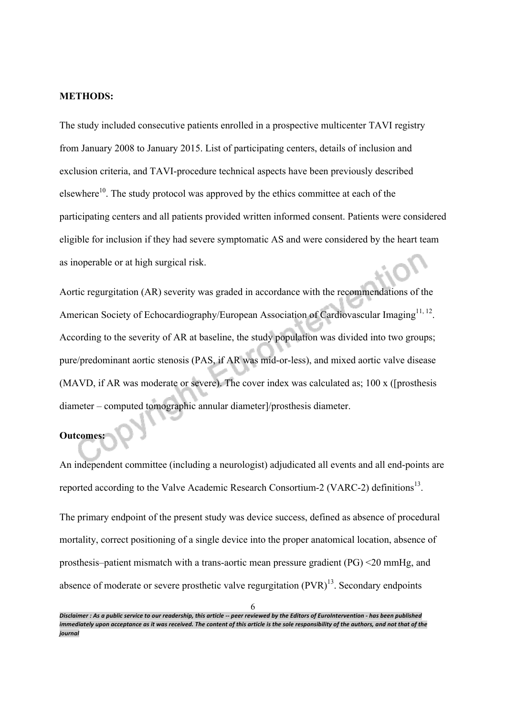#### **METHODS:**

The study included consecutive patients enrolled in a prospective multicenter TAVI registry from January 2008 to January 2015. List of participating centers, details of inclusion and exclusion criteria, and TAVI-procedure technical aspects have been previously described elsewhere<sup>10</sup>. The study protocol was approved by the ethics committee at each of the participating centers and all patients provided written informed consent. Patients were considered eligible for inclusion if they had severe symptomatic AS and were considered by the heart team as inoperable or at high surgical risk.

Aortic regurgitation (AR) severity was graded in accordance with the recommendations of the American Society of Echocardiography/European Association of Cardiovascular Imaging<sup>11, 12</sup>. According to the severity of AR at baseline, the study population was divided into two groups; pure/predominant aortic stenosis (PAS, if AR was mid-or-less), and mixed aortic valve disease (MAVD, if AR was moderate or severe). The cover index was calculated as; 100 x ([prosthesis diameter – computed tomographic annular diameter]/prosthesis diameter.

# **Outcomes:**

An independent committee (including a neurologist) adjudicated all events and all end-points are reported according to the Valve Academic Research Consortium-2 (VARC-2) definitions<sup>13</sup>.

The primary endpoint of the present study was device success, defined as absence of procedural mortality, correct positioning of a single device into the proper anatomical location, absence of prosthesis–patient mismatch with a trans-aortic mean pressure gradient (PG) <20 mmHg, and absence of moderate or severe prosthetic valve regurgitation  $(PVR)^{13}$ . Secondary endpoints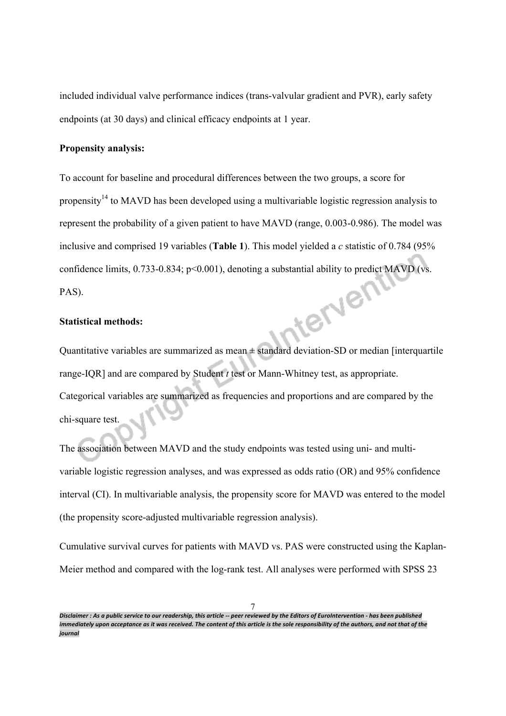included individual valve performance indices (trans-valvular gradient and PVR), early safety endpoints (at 30 days) and clinical efficacy endpoints at 1 year.

#### **Propensity analysis:**

To account for baseline and procedural differences between the two groups, a score for propensity<sup>14</sup> to MAVD has been developed using a multivariable logistic regression analysis to represent the probability of a given patient to have MAVD (range, 0.003-0.986). The model was inclusive and comprised 19 variables (**Table 1**). This model yielded a *c* statistic of 0.784 (95% confidence limits, 0.733-0.834; p<0.001), denoting a substantial ability to predict MAVD (vs. PAS).<br>
Statistical methods: PAS).

# **Statistical methods:**

Quantitative variables are summarized as mean ± standard deviation-SD or median [interquartile range-IQR] and are compared by Student *t* test or Mann-Whitney test, as appropriate. Categorical variables are summarized as frequencies and proportions and are compared by the chi-square test.

The association between MAVD and the study endpoints was tested using uni- and multivariable logistic regression analyses, and was expressed as odds ratio (OR) and 95% confidence interval (CI). In multivariable analysis, the propensity score for MAVD was entered to the model (the propensity score-adjusted multivariable regression analysis).

Cumulative survival curves for patients with MAVD vs. PAS were constructed using the Kaplan-Meier method and compared with the log-rank test. All analyses were performed with SPSS 23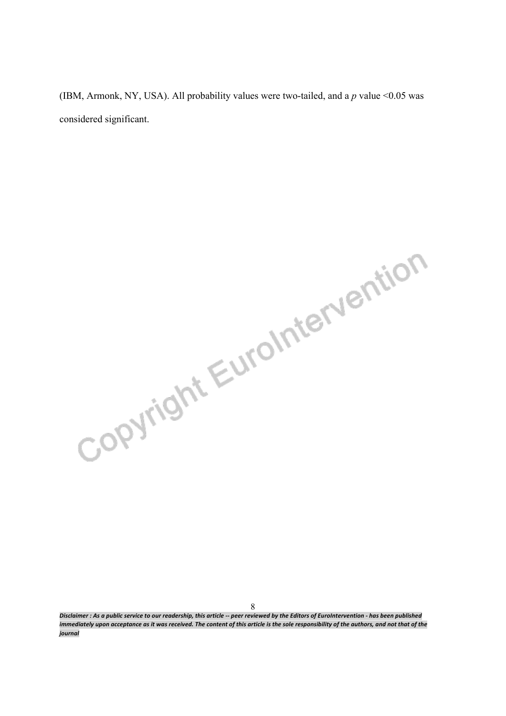(IBM, Armonk, NY, USA). All probability values were two-tailed, and a *p* value <0.05 was considered significant.

Copyright EuroIntervention

*Disclaimer* : As a public service to our readership, this article -- peer reviewed by the Editors of EuroIntervention - has been published *immediately upon acceptance as it was received. The content of this article is the sole responsibility of the authors, and not that of the journal*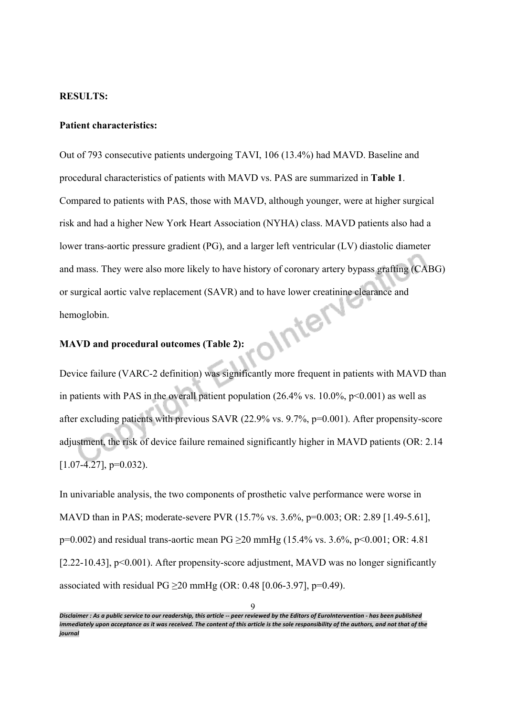## **RESULTS:**

## **Patient characteristics:**

Out of 793 consecutive patients undergoing TAVI, 106 (13.4%) had MAVD. Baseline and procedural characteristics of patients with MAVD vs. PAS are summarized in **Table 1**. Compared to patients with PAS, those with MAVD, although younger, were at higher surgical risk and had a higher New York Heart Association (NYHA) class. MAVD patients also had a lower trans-aortic pressure gradient (PG), and a larger left ventricular (LV) diastolic diameter and mass. They were also more likely to have history of coronary artery bypass grafting (CABG) or surgical aortic valve replacement (SAVR) and to have lower creatinine clearance and<br>hemoglobin.<br>MAVD and procedural outcomes (Table 2): hemoglobin.

# **MAVD and procedural outcomes (Table 2):**

Device failure (VARC-2 definition) was significantly more frequent in patients with MAVD than in patients with PAS in the overall patient population  $(26.4\% \text{ vs. } 10.0\%, \text{ p} < 0.001)$  as well as after excluding patients with previous SAVR (22.9% vs. 9.7%, p=0.001). After propensity-score adjustment, the risk of device failure remained significantly higher in MAVD patients (OR: 2.14  $[1.07 - 4.27]$ , p=0.032).

In univariable analysis, the two components of prosthetic valve performance were worse in MAVD than in PAS; moderate-severe PVR (15.7% vs. 3.6%, p=0.003; OR: 2.89 [1.49-5.61], p=0.002) and residual trans-aortic mean PG  $\geq$ 20 mmHg (15.4% vs. 3.6%, p<0.001; OR: 4.81 [2.22-10.43], p<0.001). After propensity-score adjustment, MAVD was no longer significantly associated with residual PG  $\geq$  20 mmHg (OR: 0.48 [0.06-3.97], p=0.49).

 $\Omega$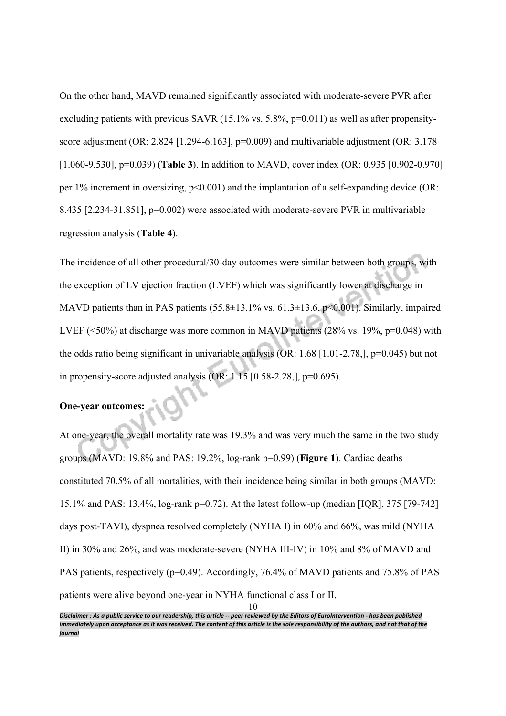On the other hand, MAVD remained significantly associated with moderate-severe PVR after excluding patients with previous SAVR  $(15.1\% \text{ vs. } 5.8\%, \text{p=0.011})$  as well as after propensityscore adjustment (OR: 2.824 [1.294-6.163], p=0.009) and multivariable adjustment (OR: 3.178 [1.060-9.530], p=0.039) (**Table 3**). In addition to MAVD, cover index (OR: 0.935 [0.902-0.970] per 1% increment in oversizing, p<0.001) and the implantation of a self-expanding device (OR: 8.435 [2.234-31.851], p=0.002) were associated with moderate-severe PVR in multivariable regression analysis (**Table 4**).

The incidence of all other procedural/30-day outcomes were similar between both groups, with the exception of LV ejection fraction (LVEF) which was significantly lower at discharge in MAVD patients than in PAS patients (55.8±13.1% vs. 61.3±13.6, p<0.001). Similarly, impaired LVEF ( $\leq$ 50%) at discharge was more common in MAVD patients (28% vs. 19%, p=0.048) with the odds ratio being significant in univariable analysis (OR: 1.68 [1.01-2.78,], p=0.045) but not in propensity-score adjusted analysis (OR: 1.15 [0.58-2.28,], p=0.695).

# **One-year outcomes:**

10 At one-year, the overall mortality rate was 19.3% and was very much the same in the two study groups (MAVD: 19.8% and PAS: 19.2%, log-rank p=0.99) (**Figure 1**). Cardiac deaths constituted 70.5% of all mortalities, with their incidence being similar in both groups (MAVD: 15.1% and PAS: 13.4%, log-rank p=0.72). At the latest follow-up (median [IQR], 375 [79-742] days post-TAVI), dyspnea resolved completely (NYHA I) in 60% and 66%, was mild (NYHA II) in 30% and 26%, and was moderate-severe (NYHA III-IV) in 10% and 8% of MAVD and PAS patients, respectively (p=0.49). Accordingly, 76.4% of MAVD patients and 75.8% of PAS patients were alive beyond one-year in NYHA functional class I or II.

Disclaimer : As a public service to our readership, this article -- peer reviewed by the Editors of EuroIntervention - has been published *immediately upon acceptance as it was received. The content of this article is the sole responsibility of the authors, and not that of the journal*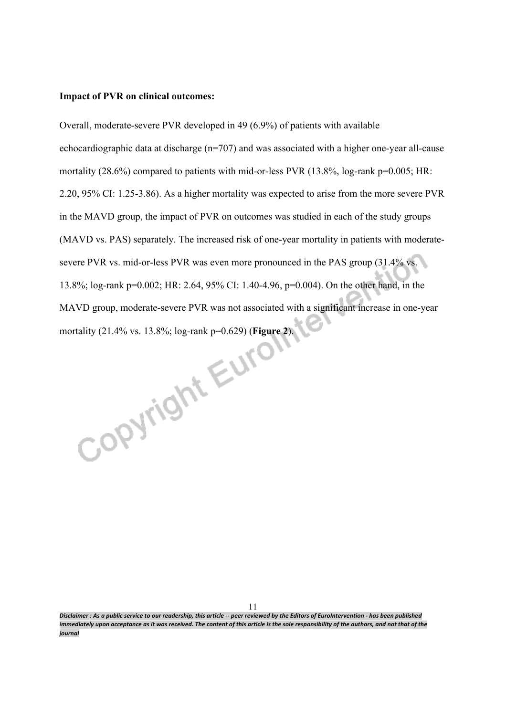#### **Impact of PVR on clinical outcomes:**

Overall, moderate-severe PVR developed in 49 (6.9%) of patients with available echocardiographic data at discharge (n=707) and was associated with a higher one-year all-cause mortality (28.6%) compared to patients with mid-or-less PVR (13.8%, log-rank p=0.005; HR: 2.20, 95% CI: 1.25-3.86). As a higher mortality was expected to arise from the more severe PVR in the MAVD group, the impact of PVR on outcomes was studied in each of the study groups (MAVD vs. PAS) separately. The increased risk of one-year mortality in patients with moderatesevere PVR vs. mid-or-less PVR was even more pronounced in the PAS group (31.4% vs. 13.8%; log-rank p=0.002; HR: 2.64, 95% CI: 1.40-4.96, p=0.004). On the other hand, in the MAVD group, moderate-severe PVR was not associated with a significant increase in one-year<br>mortality (21.4% vs. 13.8%; log-rank p=0.629) (Figure 2). mortality (21.4% vs. 13.8%; log-rank p=0.629) (**Figure 2**).

*Disclaimer* : As a public service to our readership, this article -- peer reviewed by the Editors of EuroIntervention - has been published *immediately upon acceptance as it was received. The content of this article is the sole responsibility of the authors, and not that of the journal*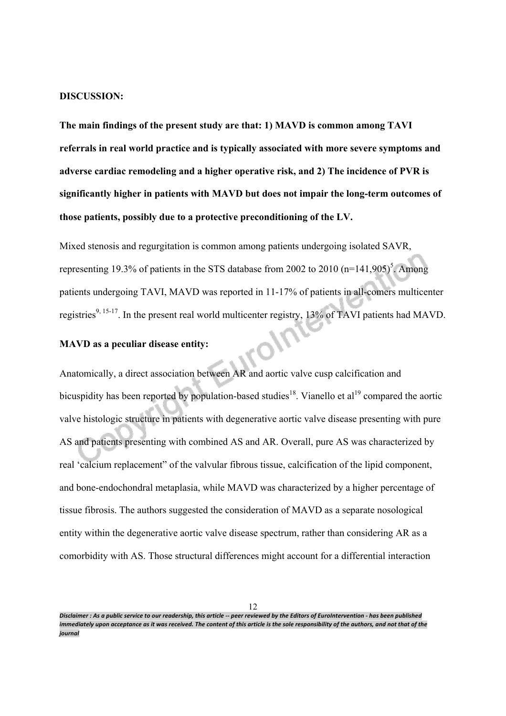#### **DISCUSSION:**

**The main findings of the present study are that: 1) MAVD is common among TAVI referrals in real world practice and is typically associated with more severe symptoms and adverse cardiac remodeling and a higher operative risk, and 2) The incidence of PVR is significantly higher in patients with MAVD but does not impair the long-term outcomes of those patients, possibly due to a protective preconditioning of the LV.**

Mixed stenosis and regurgitation is common among patients undergoing isolated SAVR, representing 19.3% of patients in the STS database from 2002 to 2010  $(n=141,905)^5$ . Among patients undergoing TAVI, MAVD was reported in 11-17% of patients in all-comers multicenter registries<sup>9, 15-17</sup>. In the present real world multicenter registry, 13% of TAVI patients had MAVD.

# **MAVD as a peculiar disease entity:**

Anatomically, a direct association between AR and aortic valve cusp calcification and bicuspidity has been reported by population-based studies<sup>18</sup>. Vianello et al<sup>19</sup> compared the aortic valve histologic structure in patients with degenerative aortic valve disease presenting with pure AS and patients presenting with combined AS and AR. Overall, pure AS was characterized by real 'calcium replacement" of the valvular fibrous tissue, calcification of the lipid component, and bone-endochondral metaplasia, while MAVD was characterized by a higher percentage of tissue fibrosis. The authors suggested the consideration of MAVD as a separate nosological entity within the degenerative aortic valve disease spectrum, rather than considering AR as a comorbidity with AS. Those structural differences might account for a differential interaction

*Disclaimer* : As a public service to our readership, this article -- peer reviewed by the Editors of EuroIntervention - has been published *immediately upon acceptance as it was received. The content of this article is the sole responsibility of the authors, and not that of the journal*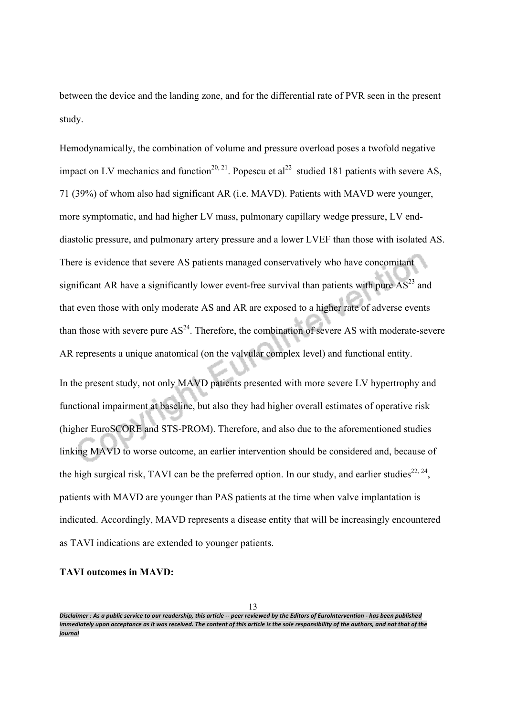between the device and the landing zone, and for the differential rate of PVR seen in the present study.

Hemodynamically, the combination of volume and pressure overload poses a twofold negative impact on LV mechanics and function<sup>20, 21</sup>. Popescu et al<sup>22</sup> studied 181 patients with severe AS, 71 (39%) of whom also had significant AR (i.e. MAVD). Patients with MAVD were younger, more symptomatic, and had higher LV mass, pulmonary capillary wedge pressure, LV enddiastolic pressure, and pulmonary artery pressure and a lower LVEF than those with isolated AS. There is evidence that severe AS patients managed conservatively who have concomitant significant AR have a significantly lower event-free survival than patients with pure  $AS<sup>23</sup>$  and that even those with only moderate AS and AR are exposed to a higher rate of adverse events than those with severe pure  $AS^{24}$ . Therefore, the combination of severe AS with moderate-severe AR represents a unique anatomical (on the valvular complex level) and functional entity.

In the present study, not only MAVD patients presented with more severe LV hypertrophy and functional impairment at baseline, but also they had higher overall estimates of operative risk (higher EuroSCORE and STS-PROM). Therefore, and also due to the aforementioned studies linking MAVD to worse outcome, an earlier intervention should be considered and, because of the high surgical risk, TAVI can be the preferred option. In our study, and earlier studies<sup>22, 24</sup>, patients with MAVD are younger than PAS patients at the time when valve implantation is indicated. Accordingly, MAVD represents a disease entity that will be increasingly encountered as TAVI indications are extended to younger patients.

# **TAVI outcomes in MAVD:**

Disclaimer : As a public service to our readership, this article -- peer reviewed by the Editors of EuroIntervention - has been published *immediately upon acceptance as it was received. The content of this article is the sole responsibility of the authors, and not that of the journal*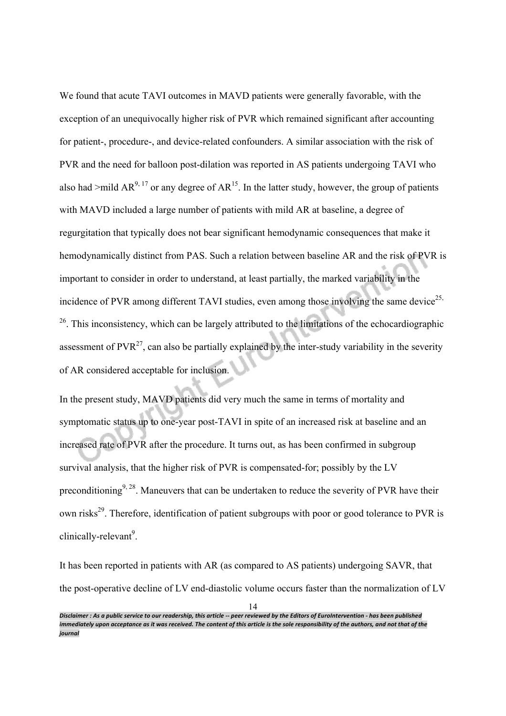We found that acute TAVI outcomes in MAVD patients were generally favorable, with the exception of an unequivocally higher risk of PVR which remained significant after accounting for patient-, procedure-, and device-related confounders. A similar association with the risk of PVR and the need for balloon post-dilation was reported in AS patients undergoing TAVI who also had >mild  $AR^{9,17}$  or any degree of  $AR^{15}$ . In the latter study, however, the group of patients with MAVD included a large number of patients with mild AR at baseline, a degree of regurgitation that typically does not bear significant hemodynamic consequences that make it hemodynamically distinct from PAS. Such a relation between baseline AR and the risk of PVR is important to consider in order to understand, at least partially, the marked variability in the incidence of PVR among different TAVI studies, even among those involving the same device<sup>25,</sup>  $26$ . This inconsistency, which can be largely attributed to the limitations of the echocardiographic assessment of  $PVR^{27}$ , can also be partially explained by the inter-study variability in the severity of AR considered acceptable for inclusion.

In the present study, MAVD patients did very much the same in terms of mortality and symptomatic status up to one-year post-TAVI in spite of an increased risk at baseline and an increased rate of PVR after the procedure. It turns out, as has been confirmed in subgroup survival analysis, that the higher risk of PVR is compensated-for; possibly by the LV preconditioning<sup>9, 28</sup>. Maneuvers that can be undertaken to reduce the severity of PVR have their own risks<sup>29</sup>. Therefore, identification of patient subgroups with poor or good tolerance to PVR is clinically-relevant<sup>9</sup>.

It has been reported in patients with AR (as compared to AS patients) undergoing SAVR, that the post-operative decline of LV end-diastolic volume occurs faster than the normalization of LV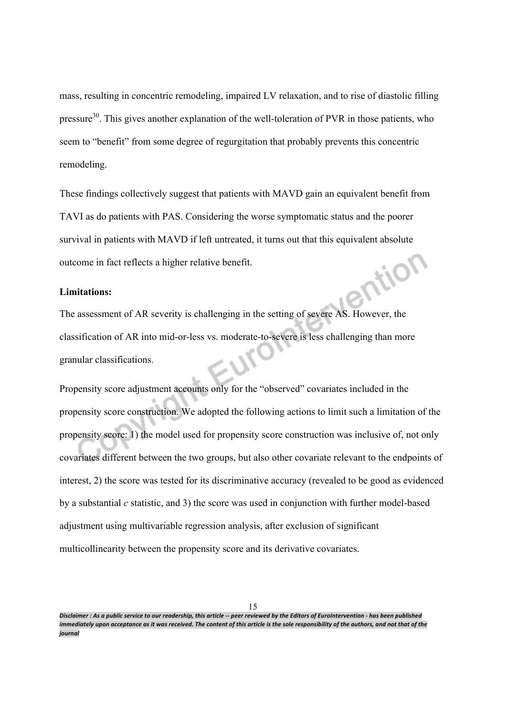mass, resulting in concentric remodeling, impaired LV relaxation, and to rise of diastolic filling pressure<sup>30</sup>. This gives another explanation of the well-toleration of PVR in those patients, who seem to "benefit" from some degree of regurgitation that probably prevents this concentric remodeling.

These findings collectively suggest that patients with MAVD gain an equivalent benefit from TAVI as do patients with PAS. Considering the worse symptomatic status and the poorer survival in patients with MAVD if left untreated, it turns out that this equivalent absolute<br>outcome in fact reflects a higher relative benefit.<br>Limitations:<br>The association outcome in fact reflects a higher relative benefit.

## **Limitations:**

The assessment of AR severity is challenging in the setting of severe AS. However, the classification of AR into mid-or-less vs. moderate-to-severe is less challenging than more granular classifications.

Propensity score adjustment accounts only for the "observed" covariates included in the propensity score construction. We adopted the following actions to limit such a limitation of the propensity score: 1) the model used for propensity score construction was inclusive of, not only covariates different between the two groups, but also other covariate relevant to the endpoints of interest, 2) the score was tested for its discriminative accuracy (revealed to be good as evidenced by a substantial *c* statistic, and 3) the score was used in conjunction with further model-based adjustment using multivariable regression analysis, after exclusion of significant multicollinearity between the propensity score and its derivative covariates.

Disclaimer : As a public service to our readership, this article -- peer reviewed by the Editors of EuroIntervention - has been published *immediately* upon acceptance as it was received. The content of this article is the sole responsibility of the authors, and not that of the *journal*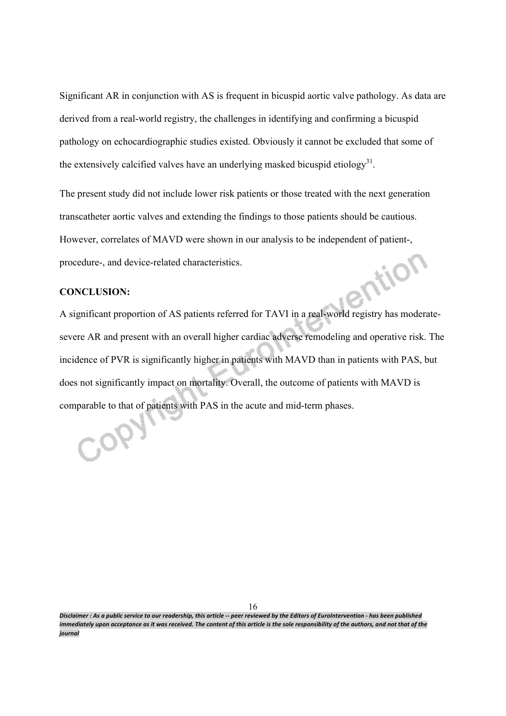Significant AR in conjunction with AS is frequent in bicuspid aortic valve pathology. As data are derived from a real-world registry, the challenges in identifying and confirming a bicuspid pathology on echocardiographic studies existed. Obviously it cannot be excluded that some of the extensively calcified valves have an underlying masked bicuspid etiology<sup>31</sup>.

The present study did not include lower risk patients or those treated with the next generation transcatheter aortic valves and extending the findings to those patients should be cautious. However, correlates of MAVD were shown in our analysis to be independent of patient-,<br>procedure-, and device-related characteristics.<br>CONCLUSION:<br>A signifient' procedure-, and device-related characteristics.

## **CONCLUSION:**

**COPY** 

A significant proportion of AS patients referred for TAVI in a real-world registry has moderatesevere AR and present with an overall higher cardiac adverse remodeling and operative risk. The incidence of PVR is significantly higher in patients with MAVD than in patients with PAS, but does not significantly impact on mortality. Overall, the outcome of patients with MAVD is comparable to that of patients with PAS in the acute and mid-term phases.

Disclaimer : As a public service to our readership, this article -- peer reviewed by the Editors of EuroIntervention - has been published *immediately upon acceptance as it was received. The content of this article is the sole responsibility of the authors, and not that of the journal*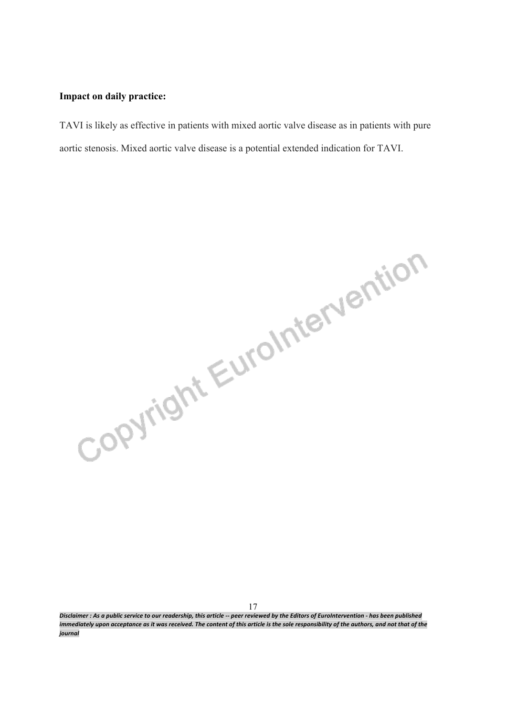#### **Impact on daily practice:**

TAVI is likely as effective in patients with mixed aortic valve disease as in patients with pure aortic stenosis. Mixed aortic valve disease is a potential extended indication for TAVI.

Copyright EuroIntervention

*Disclaimer* : As a public service to our readership, this article -- peer reviewed by the Editors of EuroIntervention - has been published *immediately upon acceptance as it was received. The content of this article is the sole responsibility of the authors, and not that of the journal*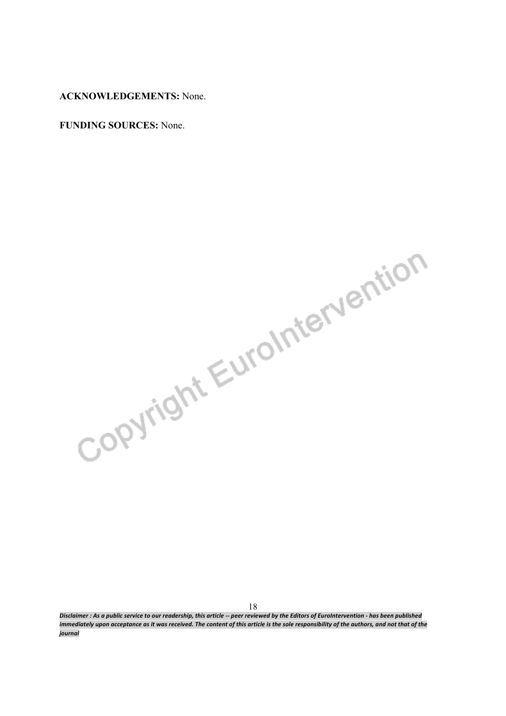**ACKNOWLEDGEMENTS:** None.

## **FUNDING SOURCES:** None.

*Disclaimer* : As a public service to our readership, this article -- peer reviewed by the Editors of EuroIntervention - has been published *immediately upon acceptance as it was received. The content of this article is the sole responsibility of the authors, and not that of the journal*

18

Copyright EuroIntervention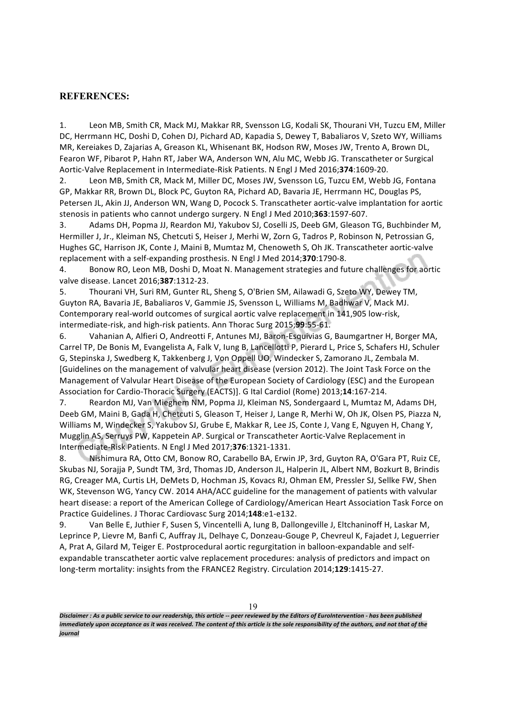#### **REFERENCES:**

1. Leon MB, Smith CR, Mack MJ, Makkar RR, Svensson LG, Kodali SK, Thourani VH, Tuzcu EM, Miller DC, Herrmann HC, Doshi D, Cohen DJ, Pichard AD, Kapadia S, Dewey T, Babaliaros V, Szeto WY, Williams MR, Kereiakes D, Zajarias A, Greason KL, Whisenant BK, Hodson RW, Moses JW, Trento A, Brown DL, Fearon WF, Pibarot P, Hahn RT, Jaber WA, Anderson WN, Alu MC, Webb JG. Transcatheter or Surgical Aortic-Valve Replacement in Intermediate-Risk Patients. N Engl J Med 2016;374:1609-20.

2. Leon MB, Smith CR, Mack M, Miller DC, Moses JW, Svensson LG, Tuzcu EM, Webb JG, Fontana GP, Makkar RR, Brown DL, Block PC, Guyton RA, Pichard AD, Bavaria JE, Herrmann HC, Douglas PS, Petersen JL, Akin JJ, Anderson WN, Wang D, Pocock S. Transcatheter aortic-valve implantation for aortic stenosis in patients who cannot undergo surgery. N Engl J Med 2010;363:1597-607.

3. Adams DH, Popma JJ, Reardon MJ, Yakubov SJ, Coselli JS, Deeb GM, Gleason TG, Buchbinder M, Hermiller J, Jr., Kleiman NS, Chetcuti S, Heiser J, Merhi W, Zorn G, Tadros P, Robinson N, Petrossian G, Hughes GC, Harrison JK, Conte J, Maini B, Mumtaz M, Chenoweth S, Oh JK. Transcatheter aortic-valve replacement with a self-expanding prosthesis. N Engl J Med 2014;370:1790-8.

4. Bonow RO, Leon MB, Doshi D, Moat N. Management strategies and future challenges for aortic valve disease. Lancet 2016;**387**:1312-23.

5. Thourani VH, Suri RM, Gunter RL, Sheng S, O'Brien SM, Ailawadi G, Szeto WY, Dewey TM, Guyton RA, Bavaria JE, Babaliaros V, Gammie JS, Svensson L, Williams M, Badhwar V, Mack MJ. Contemporary real-world outcomes of surgical aortic valve replacement in 141,905 low-risk, intermediate-risk, and high-risk patients. Ann Thorac Surg 2015;99:55-61.

6. Vahanian A, Alfieri O, Andreotti F, Antunes MJ, Baron-Esquivias G, Baumgartner H, Borger MA, Carrel TP, De Bonis M, Evangelista A, Falk V, Iung B, Lancellotti P, Pierard L, Price S, Schafers HJ, Schuler G, Stepinska J, Swedberg K, Takkenberg J, Von Oppell UO, Windecker S, Zamorano JL, Zembala M. [Guidelines on the management of valvular heart disease (version 2012). The Joint Task Force on the Management of Valvular Heart Disease of the European Society of Cardiology (ESC) and the European Association for Cardio-Thoracic Surgery (EACTS)]. G Ital Cardiol (Rome) 2013;14:167-214.

7. Reardon MJ, Van Mieghem NM, Popma JJ, Kleiman NS, Sondergaard L, Mumtaz M, Adams DH, Deeb GM, Maini B, Gada H, Chetcuti S, Gleason T, Heiser J, Lange R, Merhi W, Oh JK, Olsen PS, Piazza N, Williams M, Windecker S, Yakubov SJ, Grube E, Makkar R, Lee JS, Conte J, Vang E, Nguyen H, Chang Y, Mugglin AS, Serruys PW, Kappetein AP. Surgical or Transcatheter Aortic-Valve Replacement in Intermediate-Risk Patients. N Engl J Med 2017;**376**:1321-1331.

8. Nishimura RA, Otto CM, Bonow RO, Carabello BA, Erwin JP, 3rd, Guyton RA, O'Gara PT, Ruiz CE, Skubas NJ, Sorajja P, Sundt TM, 3rd, Thomas JD, Anderson JL, Halperin JL, Albert NM, Bozkurt B, Brindis RG, Creager MA, Curtis LH, DeMets D, Hochman JS, Kovacs RJ, Ohman EM, Pressler SJ, Sellke FW, Shen WK, Stevenson WG, Yancy CW. 2014 AHA/ACC guideline for the management of patients with valvular heart disease: a report of the American College of Cardiology/American Heart Association Task Force on Practice Guidelines. J Thorac Cardiovasc Surg 2014;148:e1-e132.

9. Van Belle E, Juthier F, Susen S, Vincentelli A, lung B, Dallongeville J, Eltchaninoff H, Laskar M, Leprince P, Lievre M, Banfi C, Auffray JL, Delhaye C, Donzeau-Gouge P, Chevreul K, Fajadet J, Leguerrier A, Prat A, Gilard M, Teiger E. Postprocedural aortic regurgitation in balloon-expandable and selfexpandable transcatheter aortic valve replacement procedures: analysis of predictors and impact on long-term mortality: insights from the FRANCE2 Registry. Circulation 2014;129:1415-27.

Disclaimer : As a public service to our readership, this article -- peer reviewed by the Editors of EuroIntervention - has been published *immediately upon acceptance as it was received. The content of this article is the sole responsibility of the authors, and not that of the journal*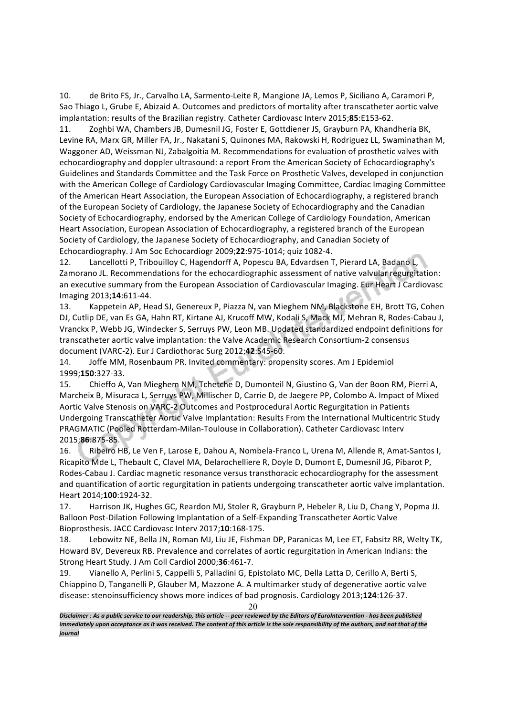10. de Brito FS, Jr., Carvalho LA, Sarmento-Leite R, Mangione JA, Lemos P, Siciliano A, Caramori P, Sao Thiago L, Grube E, Abizaid A. Outcomes and predictors of mortality after transcatheter aortic valve implantation: results of the Brazilian registry. Catheter Cardiovasc Interv 2015;85:E153-62.

11. Zoghbi WA, Chambers JB, Dumesnil JG, Foster E, Gottdiener JS, Grayburn PA, Khandheria BK, Levine RA, Marx GR, Miller FA, Jr., Nakatani S, Quinones MA, Rakowski H, Rodriguez LL, Swaminathan M, Waggoner AD, Weissman NJ, Zabalgoitia M. Recommendations for evaluation of prosthetic valves with echocardiography and doppler ultrasound: a report From the American Society of Echocardiography's Guidelines and Standards Committee and the Task Force on Prosthetic Valves, developed in conjunction with the American College of Cardiology Cardiovascular Imaging Committee, Cardiac Imaging Committee of the American Heart Association, the European Association of Echocardiography, a registered branch of the European Society of Cardiology, the Japanese Society of Echocardiography and the Canadian Society of Echocardiography, endorsed by the American College of Cardiology Foundation, American Heart Association, European Association of Echocardiography, a registered branch of the European Society of Cardiology, the Japanese Society of Echocardiography, and Canadian Society of Echocardiography. J Am Soc Echocardiogr 2009;22:975-1014; quiz 1082-4.

12. Lancellotti P, Tribouilloy C, Hagendorff A, Popescu BA, Edvardsen T, Pierard LA, Badano L, Zamorano JL. Recommendations for the echocardiographic assessment of native valvular regurgitation: an executive summary from the European Association of Cardiovascular Imaging. Eur Heart J Cardiovasc Imaging 2013;**14**:611-44.

13. Kappetein AP, Head SJ, Genereux P, Piazza N, van Mieghem NM, Blackstone EH, Brott TG, Cohen DJ, Cutlip DE, van Es GA, Hahn RT, Kirtane AJ, Krucoff MW, Kodali S, Mack MJ, Mehran R, Rodes-Cabau J, Vranckx P, Webb JG, Windecker S, Serruys PW, Leon MB. Updated standardized endpoint definitions for transcatheter aortic valve implantation: the Valve Academic Research Consortium-2 consensus document (VARC-2). Eur J Cardiothorac Surg 2012;42:S45-60.

14. Joffe MM, Rosenbaum PR. Invited commentary: propensity scores. Am J Epidemiol 1999;**150**:327-33.

15. Chieffo A, Van Mieghem NM, Tchetche D, Dumonteil N, Giustino G, Van der Boon RM, Pierri A, Marcheix B, Misuraca L, Serruys PW, Millischer D, Carrie D, de Jaegere PP, Colombo A. Impact of Mixed Aortic Valve Stenosis on VARC-2 Outcomes and Postprocedural Aortic Regurgitation in Patients Undergoing Transcatheter Aortic Valve Implantation: Results From the International Multicentric Study PRAGMATIC (Pooled Rotterdam-Milan-Toulouse in Collaboration). Catheter Cardiovasc Interv 2015;**86**:875-85.

16. Ribeiro HB, Le Ven F, Larose E, Dahou A, Nombela-Franco L, Urena M, Allende R, Amat-Santos I, Ricapito Mde L, Thebault C, Clavel MA, Delarochelliere R, Doyle D, Dumont E, Dumesnil JG, Pibarot P, Rodes-Cabau J. Cardiac magnetic resonance versus transthoracic echocardiography for the assessment and quantification of aortic regurgitation in patients undergoing transcatheter aortic valve implantation. Heart 2014;**100**:1924-32.

17. Harrison JK, Hughes GC, Reardon MJ, Stoler R, Grayburn P, Hebeler R, Liu D, Chang Y, Popma JJ. Balloon Post-Dilation Following Implantation of a Self-Expanding Transcatheter Aortic Valve Bioprosthesis. JACC Cardiovasc Interv 2017;**10**:168-175.

18. Lebowitz NE, Bella JN, Roman MJ, Liu JE, Fishman DP, Paranicas M, Lee ET, Fabsitz RR, Welty TK, Howard BV, Devereux RB. Prevalence and correlates of aortic regurgitation in American Indians: the Strong Heart Study. J Am Coll Cardiol 2000;36:461-7.

19. Vianello A, Perlini S, Cappelli S, Palladini G, Epistolato MC, Della Latta D, Cerillo A, Berti S, Chiappino D, Tanganelli P, Glauber M, Mazzone A. A multimarker study of degenerative aortic valve disease: stenoinsufficiency shows more indices of bad prognosis. Cardiology 2013;124:126-37.

Disclaimer : As a public service to our readership, this article -- peer reviewed by the Editors of EuroIntervention - has been published *immediately upon acceptance as it was received. The content of this article is the sole responsibility of the authors, and not that of the journal*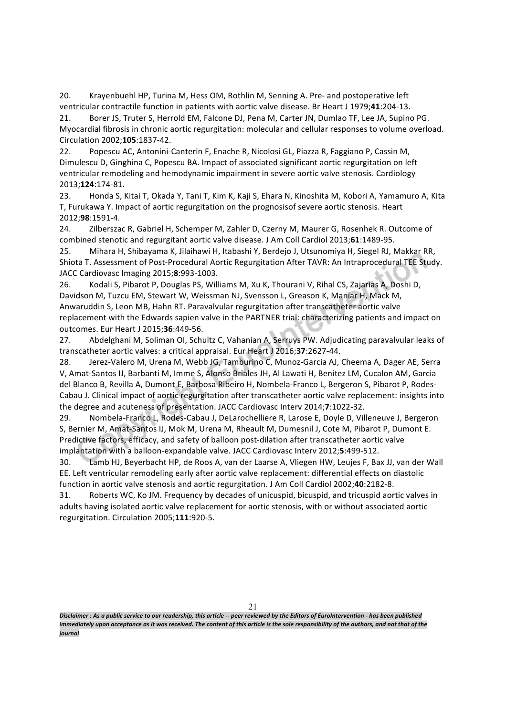20. Krayenbuehl HP, Turina M, Hess OM, Rothlin M, Senning A. Pre- and postoperative left ventricular contractile function in patients with aortic valve disease. Br Heart J 1979;41:204-13.

21. Borer JS, Truter S, Herrold EM, Falcone DJ, Pena M, Carter JN, Dumlao TF, Lee JA, Supino PG. Myocardial fibrosis in chronic aortic regurgitation: molecular and cellular responses to volume overload. Circulation 2002;**105**:1837-42.

22. Popescu AC, Antonini-Canterin F, Enache R, Nicolosi GL, Piazza R, Faggiano P, Cassin M, Dimulescu D, Ginghina C, Popescu BA. Impact of associated significant aortic regurgitation on left ventricular remodeling and hemodynamic impairment in severe aortic valve stenosis. Cardiology 2013;**124**:174-81.

23. Honda S, Kitai T, Okada Y, Tani T, Kim K, Kaji S, Ehara N, Kinoshita M, Kobori A, Yamamuro A, Kita T, Furukawa Y. Impact of aortic regurgitation on the prognosisof severe aortic stenosis. Heart 2012;**98**:1591-4.

24. Zilberszac R, Gabriel H, Schemper M, Zahler D, Czerny M, Maurer G, Rosenhek R. Outcome of combined stenotic and regurgitant aortic valve disease. J Am Coll Cardiol 2013;61:1489-95.

25. Mihara H, Shibayama K, Jilaihawi H, Itabashi Y, Berdejo J, Utsunomiya H, Siegel RJ, Makkar RR, Shiota T. Assessment of Post-Procedural Aortic Regurgitation After TAVR: An Intraprocedural TEE Study. JACC Cardiovasc Imaging 2015;**8**:993-1003.

26. Kodali S, Pibarot P, Douglas PS, Williams M, Xu K, Thourani V, Rihal CS, Zajarias A, Doshi D, Davidson M, Tuzcu EM, Stewart W, Weissman NJ, Svensson L, Greason K, Maniar H, Mack M, Anwaruddin S, Leon MB, Hahn RT. Paravalvular regurgitation after transcatheter aortic valve replacement with the Edwards sapien valve in the PARTNER trial: characterizing patients and impact on outcomes. Eur Heart J 2015;**36**:449-56.

27. Abdelghani M, Soliman OI, Schultz C, Vahanian A, Serruys PW. Adjudicating paravalvular leaks of transcatheter aortic valves: a critical appraisal. Eur Heart J 2016;37:2627-44.

28. Jerez-Valero M, Urena M, Webb JG, Tamburino C, Munoz-Garcia AJ, Cheema A, Dager AE, Serra V, Amat-Santos IJ, Barbanti M, Imme S, Alonso Briales JH, Al Lawati H, Benitez LM, Cucalon AM, Garcia del Blanco B, Revilla A, Dumont E, Barbosa Ribeiro H, Nombela-Franco L, Bergeron S, Pibarot P, Rodes-Cabau J. Clinical impact of aortic regurgitation after transcatheter aortic valve replacement: insights into the degree and acuteness of presentation. JACC Cardiovasc Interv 2014;7:1022-32.

29. Nombela-Franco L, Rodes-Cabau J, DeLarochelliere R, Larose E, Doyle D, Villeneuve J, Bergeron S, Bernier M, Amat-Santos IJ, Mok M, Urena M, Rheault M, Dumesnil J, Cote M, Pibarot P, Dumont E. Predictive factors, efficacy, and safety of balloon post-dilation after transcatheter aortic valve implantation with a balloon-expandable valve. JACC Cardiovasc Interv 2012;5:499-512.

30. Lamb HJ, Beyerbacht HP, de Roos A, van der Laarse A, Vliegen HW, Leujes F, Bax JJ, van der Wall EE. Left ventricular remodeling early after aortic valve replacement: differential effects on diastolic function in aortic valve stenosis and aortic regurgitation. J Am Coll Cardiol 2002;40:2182-8.

31. Roberts WC, Ko JM. Frequency by decades of unicuspid, bicuspid, and tricuspid aortic valves in adults having isolated aortic valve replacement for aortic stenosis, with or without associated aortic regurgitation. Circulation 2005;**111**:920-5.

Disclaimer : As a public service to our readership, this article -- peer reviewed by the Editors of EuroIntervention - has been published *immediately upon acceptance as it was received. The content of this article is the sole responsibility of the authors, and not that of the journal*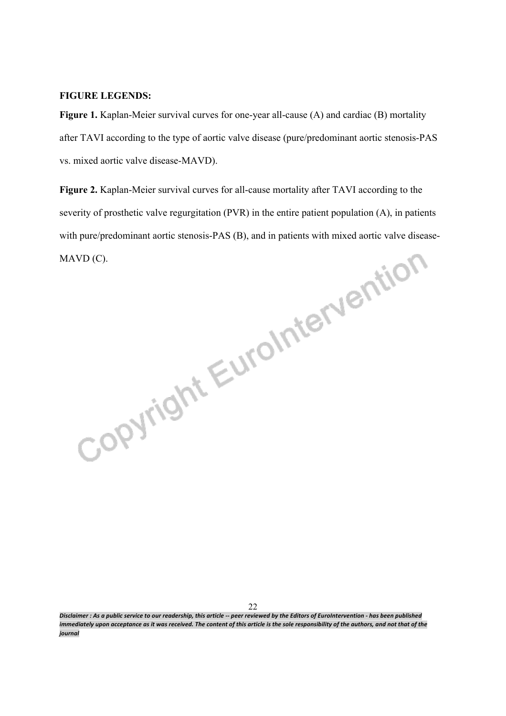#### **FIGURE LEGENDS:**

**Figure 1.** Kaplan-Meier survival curves for one-year all-cause (A) and cardiac (B) mortality after TAVI according to the type of aortic valve disease (pure/predominant aortic stenosis-PAS vs. mixed aortic valve disease-MAVD).

**Figure 2.** Kaplan-Meier survival curves for all-cause mortality after TAVI according to the severity of prosthetic valve regurgitation (PVR) in the entire patient population (A), in patients with pure/predominant aortic stenosis-PAS (B), and in patients with mixed aortic valve disease-<br>MAVD (C).<br>AAVD (C) MAVD (C).

*Disclaimer* : As a public service to our readership, this article -- peer reviewed by the Editors of EuroIntervention - has been published *immediately upon acceptance as it was received. The content of this article is the sole responsibility of the authors, and not that of the journal*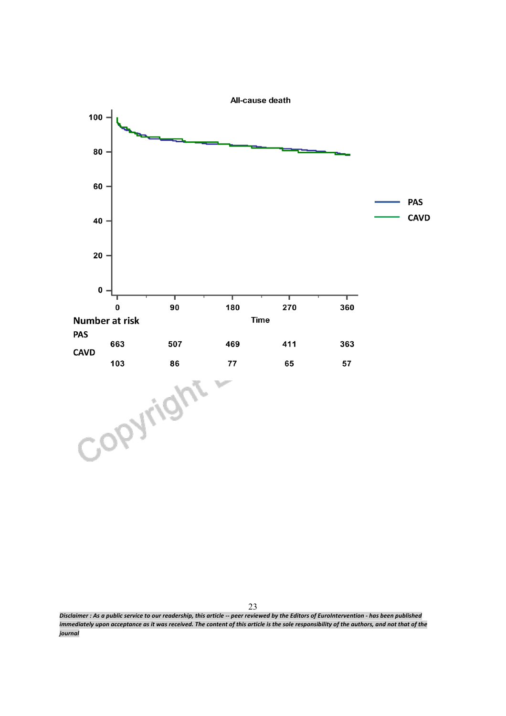

*Disclaimer* : As a public service to our readership, this article -- peer reviewed by the Editors of EuroIntervention - has been published *immediately upon acceptance as it was received. The content of this article is the sole responsibility of the authors, and not that of the journal*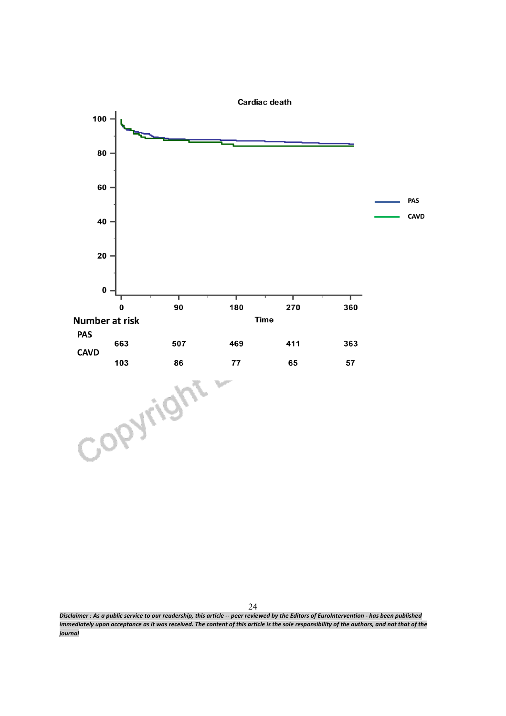

*Disclaimer* : As a public service to our readership, this article -- peer reviewed by the Editors of EuroIntervention - has been published *immediately upon acceptance as it was received. The content of this article is the sole responsibility of the authors, and not that of the journal*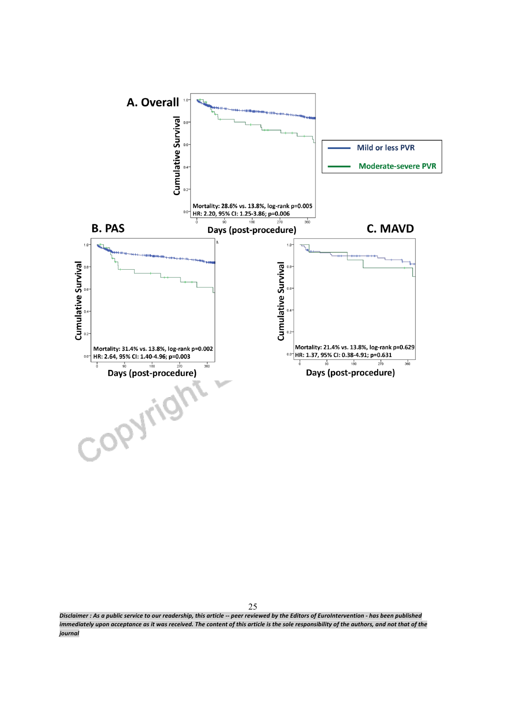

Disclaimer : As a public service to our readership, this article -- peer reviewed by the Editors of EuroIntervention - has been published *immediately upon acceptance as it was received. The content of this article is the sole responsibility of the authors, and not that of the journal*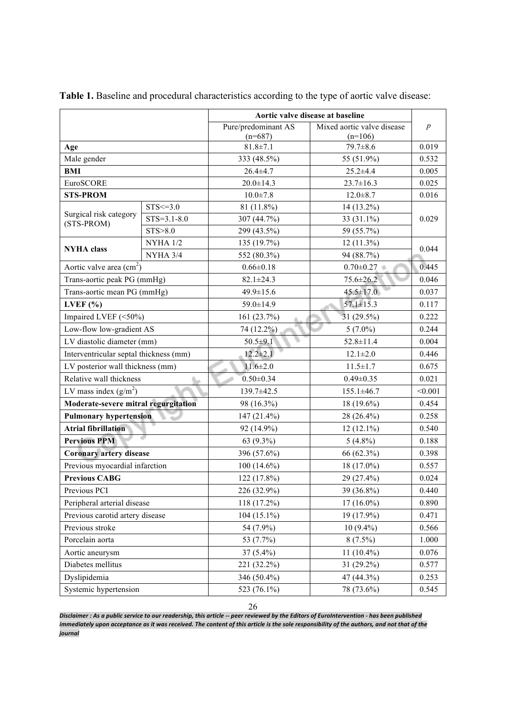|                                                           |                                  | Aortic valve disease at baseline        |                  |
|-----------------------------------------------------------|----------------------------------|-----------------------------------------|------------------|
|                                                           | Pure/predominant AS<br>$(n=687)$ | Mixed aortic valve disease<br>$(n=106)$ | $\boldsymbol{p}$ |
| Age                                                       | $81.8 \pm 7.1$                   | $79.7 \pm 8.6$                          | 0.019            |
| Male gender                                               | 333 (48.5%)                      | 55 (51.9%)                              | 0.532            |
| <b>BMI</b>                                                | $26.4 + 4.7$                     | $25.2 + 4.4$                            | 0.005            |
| EuroSCORE                                                 | $20.0 \pm 14.3$                  | $23.7 \pm 16.3$                         | 0.025            |
| <b>STS-PROM</b>                                           | $10.0 \pm 7.8$                   | $12.0 \pm 8.7$                          | 0.016            |
| $STS \leq 3.0$                                            | 81 (11.8%)                       | 14 (13.2%)                              |                  |
| Surgical risk category<br>$STS = 3.1 - 8.0$<br>(STS-PROM) | 307 (44.7%)                      | 33 (31.1%)                              | 0.029            |
| STS>8.0                                                   | 299 (43.5%)                      | 59 (55.7%)                              |                  |
| <b>NYHA 1/2</b><br><b>NYHA</b> class                      | 135 (19.7%)                      | 12 (11.3%)                              | 0.044            |
| NYHA 3/4                                                  | 552 (80.3%)                      | 94 (88.7%)                              |                  |
| Aortic valve area $\text{(cm}^2\text{)}$                  | $0.66 \pm 0.18$                  | $0.70 \pm 0.27$                         | 0.445            |
| Trans-aortic peak PG (mmHg)                               | $82.1 \pm 24.3$                  | 75.6±26.2                               | 0.046            |
| Trans-aortic mean PG (mmHg)                               | 49.9±15.6                        | $45.5 \pm 17.0$                         | 0.037            |
| LVEF $(% )$                                               | 59.0±14.9                        | $57.1 \pm 15.3$                         | 0.117            |
| Impaired LVEF (<50%)                                      | 161 (23.7%)                      | 31 (29.5%)                              | 0.222            |
| Low-flow low-gradient AS                                  | 74 (12.2%)                       | $5(7.0\%)$                              | 0.244            |
| LV diastolic diameter (mm)                                | $50.5 \pm 9.1$                   | $52.8 \pm 11.4$                         | 0.004            |
| Interventricular septal thickness (mm)                    | $12.2 \pm 2.1$                   | $12.1 \pm 2.0$                          | 0.446            |
| LV posterior wall thickness (mm)                          | $11.6 \pm 2.0$                   | $11.5 \pm 1.7$                          | 0.675            |
| Relative wall thickness                                   | $0.50 \pm 0.34$                  | $0.49 \pm 0.35$                         | 0.021            |
| LV mass index $(g/m^2)$                                   | 139.7±42.5                       | 155.1±46.7                              | < 0.001          |
| Moderate-severe mitral regurgitation                      | 98 (16.3%)                       | 18 (19.6%)                              | 0.454            |
| <b>Pulmonary hypertension</b>                             | 147 (21.4%)                      | 28 (26.4%)                              | 0.258            |
| <b>Atrial fibrillation</b>                                | 92 (14.9%)                       | $12(12.1\%)$                            | 0.540            |
| <b>Pervious PPM</b>                                       | 63 (9.3%)                        | $5(4.8\%)$                              | 0.188            |
| <b>Coronary artery disease</b>                            | 396 (57.6%)                      | 66 (62.3%)                              | 0.398            |
| Previous myocardial infarction                            | $100(14.6\%)$                    | 18 (17.0%)                              | 0.557            |
| <b>Previous CABG</b>                                      | 122 (17.8%)                      | 29 (27.4%)                              | 0.024            |
| Previous PCI                                              | 226 (32.9%)                      | 39 (36.8%)                              | 0.440            |
| Peripheral arterial disease                               | 118 (17.2%)                      | $17(16.0\%)$                            | 0.890            |
| Previous carotid artery disease                           | 104 (15.1%)                      | 19 (17.9%)                              | 0.471            |
| Previous stroke                                           | 54 (7.9%)                        | $10(9.4\%)$                             | 0.566            |
| Porcelain aorta                                           | 53 (7.7%)                        | $8(7.5\%)$                              | 1.000            |
| Aortic aneurysm                                           | $37(5.4\%)$                      | 11 $(10.4\%)$                           | 0.076            |
| Diabetes mellitus                                         | 221 (32.2%)                      | 31 (29.2%)                              | 0.577            |
| Dyslipidemia                                              | 346 (50.4%)                      | 47 (44.3%)                              | 0.253            |
| Systemic hypertension                                     | 523 (76.1%)                      | 78 (73.6%)                              | 0.545            |

**Table 1.** Baseline and procedural characteristics according to the type of aortic valve disease:

Disclaimer : As a public service to our readership, this article -- peer reviewed by the Editors of EuroIntervention - has been published *immediately* upon acceptance as it was received. The content of this article is the sole responsibility of the authors, and not that of the *journal*

<sup>26</sup>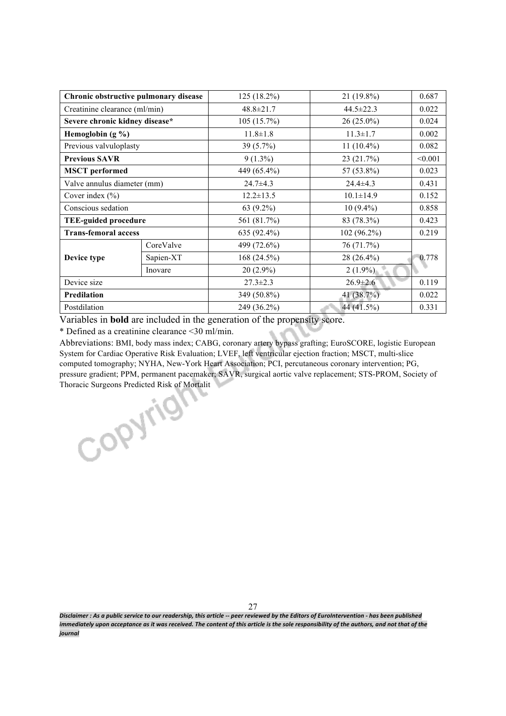| Chronic obstructive pulmonary disease |           | 125 (18.2%)     | 21 (19.8%)      | 0.687   |
|---------------------------------------|-----------|-----------------|-----------------|---------|
| Creatinine clearance (ml/min)         |           | $48.8 \pm 21.7$ | $44.5 \pm 22.3$ | 0.022   |
| Severe chronic kidney disease*        |           | 105(15.7%)      | $26(25.0\%)$    | 0.024   |
| Hemoglobin $(g \% )$                  |           | $11.8 \pm 1.8$  | $11.3 \pm 1.7$  | 0.002   |
| Previous valvuloplasty                |           | 39 $(5.7\%)$    | $11(10.4\%)$    | 0.082   |
| <b>Previous SAVR</b>                  |           | $9(1.3\%)$      | 23 (21.7%)      | < 0.001 |
| <b>MSCT</b> performed                 |           | 449 (65.4%)     | 57 (53.8%)      | 0.023   |
| Valve annulus diameter (mm)           |           | $24.7 \pm 4.3$  | $24.4 \pm 4.3$  | 0.431   |
| Cover index $(\% )$                   |           | $12.2 \pm 13.5$ | $10.1 \pm 14.9$ | 0.152   |
| Conscious sedation                    |           | 63 (9.2%)       | $10(9.4\%)$     | 0.858   |
| <b>TEE-guided procedure</b>           |           | 561 (81.7%)     | 83 (78.3%)      | 0.423   |
| <b>Trans-femoral access</b>           |           | 635 (92.4%)     | 102 (96.2%)     | 0.219   |
| Device type                           | CoreValve | 499 (72.6%)     | 76 (71.7%)      |         |
|                                       | Sapien-XT | 168(24.5%)      | $28(26.4\%)$    | 0.778   |
|                                       | Inovare   | $20(2.9\%)$     | $2(1.9\%)$      |         |
| Device size                           |           | $27.3 \pm 2.3$  | $26.9 \pm 2.6$  | 0.119   |
| Predilation                           |           | 349 (50.8%)     | 41 (38.7%)      | 0.022   |
| Postdilation                          |           | 249 (36.2%)     | 44 (41.5%)      | 0.331   |

Variables in **bold** are included in the generation of the propensity score.

\* Defined as a creatinine clearance <30 ml/min.

Abbreviations: BMI, body mass index; CABG, coronary artery bypass grafting; EuroSCORE, logistic European System for Cardiac Operative Risk Evaluation; LVEF, left ventricular ejection fraction; MSCT, multi-slice computed tomography; NYHA, New-York Heart Association; PCI, percutaneous coronary intervention; PG, pressure gradient; PPM, permanent pacemaker; SAVR, surgical aortic valve replacement; STS-PROM, Society of Thoracic Surgeons Predicted Risk of Mortalit

Disclaimer : As a public service to our readership, this article -- peer reviewed by the Editors of EuroIntervention - has been published *immediately upon acceptance as it was received. The content of this article is the sole responsibility of the authors, and not that of the journal*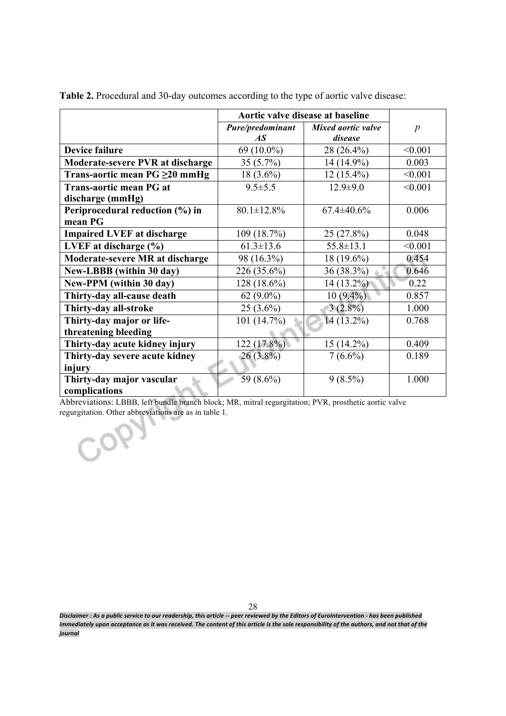|                                     | Aortic valve disease at baseline |                    |                  |
|-------------------------------------|----------------------------------|--------------------|------------------|
|                                     | Pure/predominant                 | Mixed aortic valve | $\boldsymbol{p}$ |
|                                     | $A\mathbf{S}$                    | disease            |                  |
| <b>Device failure</b>               | 69 (10.0%)                       | 28 (26.4%)         | < 0.001          |
| Moderate-severe PVR at discharge    | $35(5.7\%)$                      | 14 (14.9%)         | 0.003            |
| Trans-aortic mean $PG \geq 20$ mmHg | $18(3.6\%)$                      | $12(15.4\%)$       | < 0.001          |
| <b>Trans-aortic mean PG at</b>      | $9.5 \pm 5.5$                    | $12.9 \pm 9.0$     | < 0.001          |
| discharge (mmHg)                    |                                  |                    |                  |
| Periprocedural reduction (%) in     | $80.1 \pm 12.8\%$                | $67.4 \pm 40.6\%$  | 0.006            |
| mean PG                             |                                  |                    |                  |
| <b>Impaired LVEF at discharge</b>   | 109 (18.7%)                      | 25(27.8%)          | 0.048            |
| LVEF at discharge $(\% )$           | $61.3 \pm 13.6$                  | $55.8 \pm 13.1$    | < 0.001          |
| Moderate-severe MR at discharge     | 98 (16.3%)                       | 18 (19.6%)         | 0.454            |
| New-LBBB (within 30 day)            | 226 (35.6%)                      | 36 (38.3%)         | 0.646            |
| <b>New-PPM</b> (within 30 day)      | 128 (18.6%)                      | 14 (13.2%)         | 0.22             |
| Thirty-day all-cause death          | 62 $(9.0\%)$                     | $10(9.4\%)$        | 0.857            |
| Thirty-day all-stroke               | $25(3.6\%)$                      | $3(2.8\%)$         | 1.000            |
| Thirty-day major or life-           | 101 (14.7%)                      | $14(13.2\%)$       | 0.768            |
| threatening bleeding                |                                  |                    |                  |
| Thirty-day acute kidney injury      | 122 (17.8%)                      | $15(14.2\%)$       | 0.409            |
| Thirty-day severe acute kidney      | $26(3.8\%)$                      | $7(6.6\%)$         | 0.189            |
| injury                              |                                  |                    |                  |
| Thirty-day major vascular           | 59 (8.6%)                        | $9(8.5\%)$         | 1.000            |
| complications                       |                                  |                    |                  |

**Table 2.** Procedural and 30-day outcomes according to the type of aortic valve disease:

Abbreviations: LBBB, left bundle branch block; MR, mitral regurgitation; PVR, prosthetic aortic valve regurgitation. Other abbreviations are as in table 1.

Coby

*Disclaimer* : As a public service to our readership, this article -- peer reviewed by the Editors of EuroIntervention - has been published *immediately upon acceptance as it was received. The content of this article is the sole responsibility of the authors, and not that of the journal*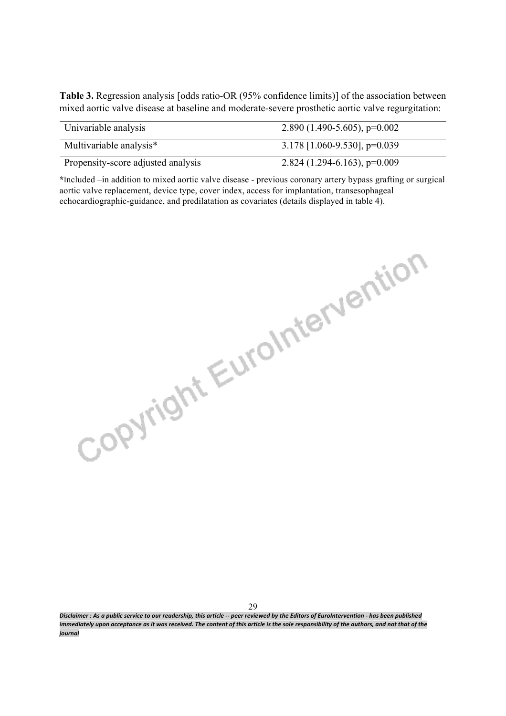**Table 3.** Regression analysis [odds ratio-OR (95% confidence limits)] of the association between mixed aortic valve disease at baseline and moderate-severe prosthetic aortic valve regurgitation:

| Univariable analysis                | 2.890 (1.490-5.605), $p=0.002$    |
|-------------------------------------|-----------------------------------|
| Multivariable analysis <sup>*</sup> | 3.178 $[1.060 - 9.530]$ , p=0.039 |
| Propensity-score adjusted analysis  | 2.824 (1.294-6.163), $p=0.009$    |

**\***Included –in addition to mixed aortic valve disease - previous coronary artery bypass grafting or surgical aortic valve replacement, device type, cover index, access for implantation, transesophageal echocardiographic-guidance, and predilatation as covariates (details displayed in table 4).

Copyright Eurolntervention

Disclaimer : As a public service to our readership, this article -- peer reviewed by the Editors of EuroIntervention - has been published *immediately upon acceptance as it was received. The content of this article is the sole responsibility of the authors, and not that of the journal*